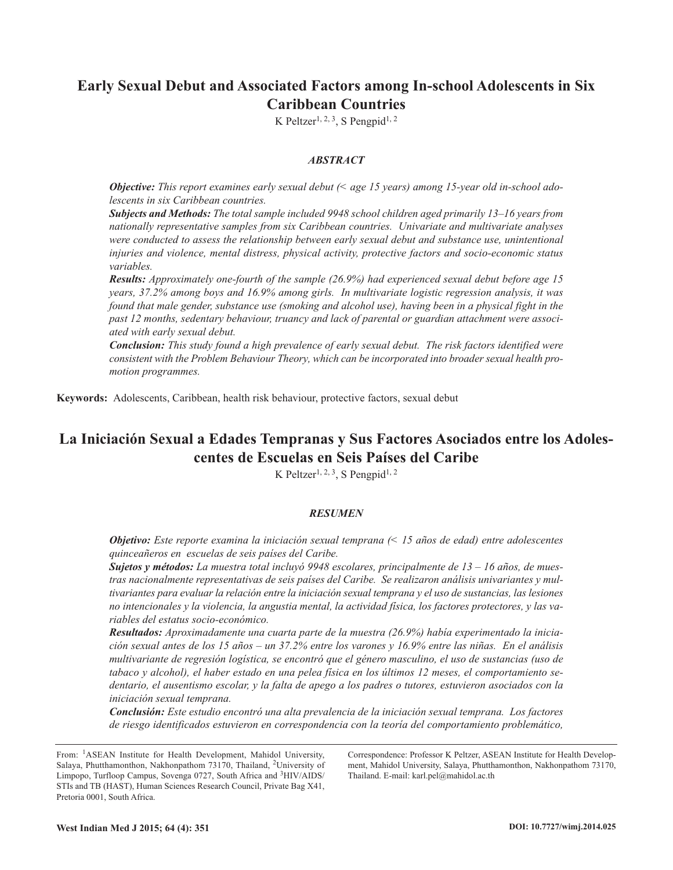## **Early Sexual Debut and Associated Factors among In-school Adolescents in Six Caribbean Countries**

K Peltzer<sup>1, 2, 3</sup>, S Pengpid<sup>1, 2</sup>

## *ABSTRACT*

*Objective: This report examines early sexual debut (< age 15 years) among 15-year old in-school adolescents in six Caribbean countries.*

*Subjects and Methods: The total sample included 9948 school children aged primarily 13–16 years from nationally representative samples from six Caribbean countries. Univariate and multivariate analyses were conducted to assess the relationship between early sexual debut and substance use, unintentional injuries and violence, mental distress, physical activity, protective factors and socio-economic status variables.*

*Results: Approximately one-fourth of the sample (26.9%) had experienced sexual debut before age 15 years, 37.2% among boys and 16.9% among girls. In multivariate logistic regression analysis, it was* found that male gender, substance use (smoking and alcohol use), having been in a physical fight in the *past 12 months, sedentary behaviour, truancy and lack of parental or guardian attachment were associated with early sexual debut.*

*Conclusion: This study found a high prevalence of early sexual debut. The risk factors identified were consistent with the Problem Behaviour Theory, which can be incorporated into broader sexual health promotion programmes.*

**Keywords:** Adolescents, Caribbean, health risk behaviour, protective factors, sexual debut

# **La Iniciación Sexual a Edades Tempranas y Sus Factores Asociados entre los Adolescentes de Escuelas en Seis Países del Caribe**

K Peltzer<sup>1, 2, 3</sup>, S Pengpid<sup>1, 2</sup>

## *RESUMEN*

*Objetivo: Este reporte examina la iniciación sexual temprana (< 15 años de edad) entre adolescentes quinceañeros en escuelas de seis países del Caribe.*

*Sujetos y métodos: La muestra total incluyó 9948 escolares, principalmente de 13 – 16 años, de muestras nacionalmente representativas de seis países del Caribe. Se realizaron análisis univariantes y mul*tivariantes para evaluar la relación entre la iniciación sexual temprana y el uso de sustancias, las lesiones no intencionales y la violencia, la angustia mental, la actividad física, los factores protectores, y las va*riables del estatus socio-económico.*

*Resultados: Aproximadamente una cuarta parte de la muestra (26.9%) había experimentado la inicia*ción sexual antes de los 15 años - un 37.2% entre los varones y 16.9% entre las niñas. En el análisis *multivariante de regresión logística, se encontró que el género masculino, el uso de sustancias (uso de* tabaco y alcohol), el haber estado en una pelea física en los últimos 12 meses, el comportamiento sedentario, el ausentismo escolar, y la falta de apego a los padres o tutores, estuvieron asociados con la *iniciación sexual temprana.*

*Conclusión: Este estudio encontró una alta prevalencia de la iniciación sexual temprana. Los factores de riesgo identificados estuvieron en correspondencia con la teoría del comportamiento problemático,*

From: 1ASEAN Institute for Health Development, Mahidol University, Salaya, Phutthamonthon, Nakhonpathom 73170, Thailand, 2University of Limpopo, Turfloop Campus, Sovenga 0727, South Africa and <sup>3</sup>HIV/AIDS/ STIs and TB (HAST), Human Sciences Research Council, Private Bag X41, Pretoria 0001, South Africa.

Correspondence: Professor K Peltzer, ASEAN Institute for Health Development, Mahidol University, Salaya, Phutthamonthon, Nakhonpathom 73170, Thailand. E-mail: karl.pel@mahidol.ac.th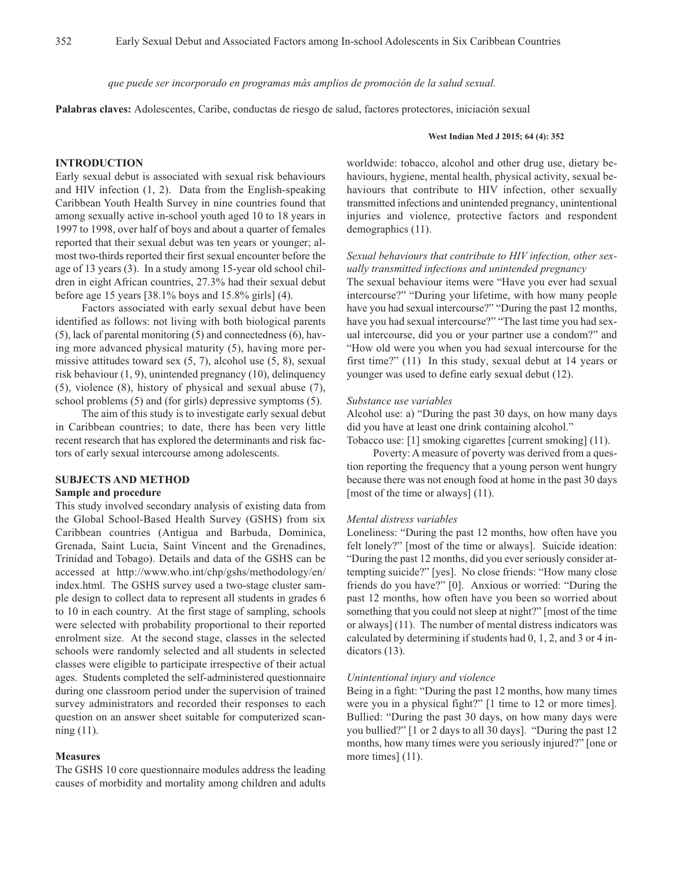*que puede ser incorporado en programas más amplios de promoción de la salud sexual.*

**Palabras claves:** Adolescentes, Caribe, conductas de riesgo de salud, factores protectores, iniciación sexual

#### **West Indian Med J 2015; 64 (4): 352**

## **INTRODUCTION**

Early sexual debut is associated with sexual risk behaviours and HIV infection (1, 2). Data from the English-speaking Caribbean Youth Health Survey in nine countries found that among sexually active in-school youth aged 10 to 18 years in 1997 to 1998, over half of boys and about a quarter of females reported that their sexual debut was ten years or younger; almost two-thirds reported their first sexual encounter before the age of 13 years (3). In a study among 15-year old school children in eight African countries, 27.3% had their sexual debut before age 15 years [38.1% boys and 15.8% girls] (4).

Factors associated with early sexual debut have been identified as follows: not living with both biological parents (5), lack of parental monitoring (5) and connectedness (6), having more advanced physical maturity (5), having more permissive attitudes toward sex (5, 7), alcohol use (5, 8), sexual risk behaviour (1, 9), unintended pregnancy (10), delinquency (5), violence (8), history of physical and sexual abuse (7), school problems (5) and (for girls) depressive symptoms (5).

The aim of this study is to investigate early sexual debut in Caribbean countries; to date, there has been very little recent research that has explored the determinants and risk factors of early sexual intercourse among adolescents.

#### **SUBJECTS AND METHOD**

#### **Sample and procedure**

This study involved secondary analysis of existing data from the Global School-Based Health Survey (GSHS) from six Caribbean countries (Antigua and Barbuda, Dominica, Grenada, Saint Lucia, Saint Vincent and the Grenadines, Trinidad and Tobago). Details and data of the GSHS can be accessed at http://www.who.int/chp/gshs/methodology/en/ index.html. The GSHS survey used a two-stage cluster sample design to collect data to represent all students in grades 6 to 10 in each country. At the first stage of sampling, schools were selected with probability proportional to their reported enrolment size. At the second stage, classes in the selected schools were randomly selected and all students in selected classes were eligible to participate irrespective of their actual ages. Students completed the self-administered questionnaire during one classroom period under the supervision of trained survey administrators and recorded their responses to each question on an answer sheet suitable for computerized scanning (11).

#### **Measures**

The GSHS 10 core questionnaire modules address the leading causes of morbidity and mortality among children and adults

worldwide: tobacco, alcohol and other drug use, dietary behaviours, hygiene, mental health, physical activity, sexual behaviours that contribute to HIV infection, other sexually transmitted infections and unintended pregnancy, unintentional injuries and violence, protective factors and respondent demographics (11).

## *Sexual behaviours that contribute to HIV infection, other sexually transmitted infections and unintended pregnancy*

The sexual behaviour items were "Have you ever had sexual intercourse?" "During your lifetime, with how many people have you had sexual intercourse?" "During the past 12 months, have you had sexual intercourse?" "The last time you had sexual intercourse, did you or your partner use a condom?" and "How old were you when you had sexual intercourse for the first time?" (11) In this study, sexual debut at 14 years or younger was used to define early sexual debut (12).

#### *Substance use variables*

Alcohol use: a) "During the past 30 days, on how many days did you have at least one drink containing alcohol."

Tobacco use: [1] smoking cigarettes [current smoking] (11).

Poverty: A measure of poverty was derived from a question reporting the frequency that a young person went hungry because there was not enough food at home in the past 30 days [most of the time or always] (11).

#### *Mental distress variables*

Loneliness: "During the past 12 months, how often have you felt lonely?" [most of the time or always]. Suicide ideation: "During the past 12 months, did you ever seriously consider attempting suicide?" [yes]. No close friends: "How many close friends do you have?" [0]. Anxious or worried: "During the past 12 months, how often have you been so worried about something that you could not sleep at night?" [most of the time or always] (11). The number of mental distress indicators was calculated by determining if students had 0, 1, 2, and 3 or 4 indicators (13).

#### *Unintentional injury and violence*

Being in a fight: "During the past 12 months, how many times were you in a physical fight?" [1 time to 12 or more times]. Bullied: "During the past 30 days, on how many days were you bullied?" [1 or 2 days to all 30 days]. "During the past 12 months, how many times were you seriously injured?" [one or more times]  $(11)$ .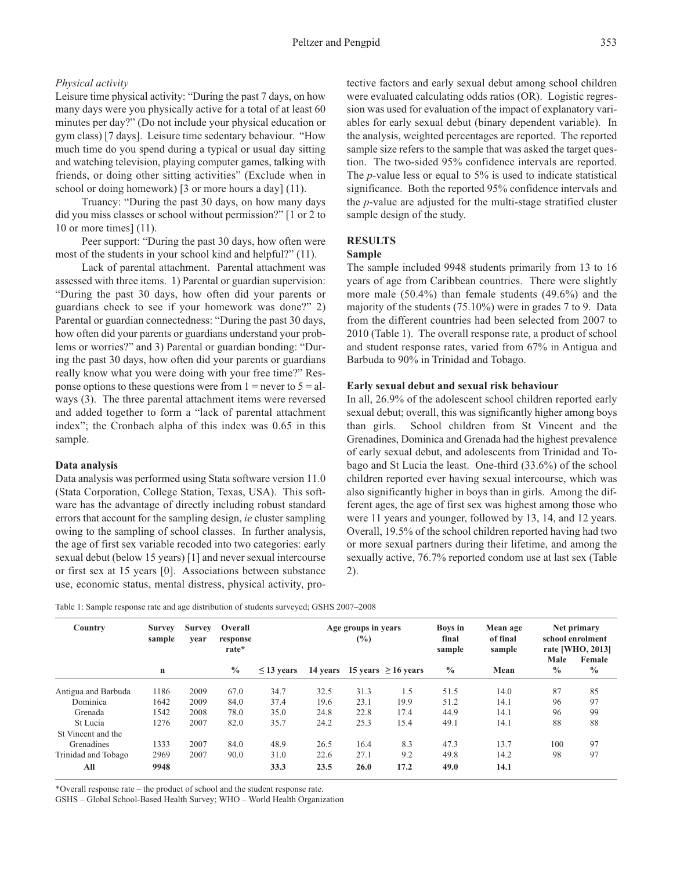## *Physical activity*

Leisure time physical activity: "During the past 7 days, on how many days were you physically active for a total of at least 60 minutes per day?" (Do not include your physical education or gym class) [7 days]. Leisure time sedentary behaviour. "How much time do you spend during a typical or usual day sitting and watching television, playing computer games, talking with friends, or doing other sitting activities" (Exclude when in school or doing homework) [3 or more hours a day] (11).

Truancy: "During the past 30 days, on how many days did you miss classes or school without permission?" [1 or 2 to 10 or more times] (11).

Peer support: "During the past 30 days, how often were most of the students in your school kind and helpful?" (11).

Lack of parental attachment. Parental attachment was assessed with three items. 1) Parental or guardian supervision: "During the past 30 days, how often did your parents or guardians check to see if your homework was done?" 2) Parental or guardian connectedness: "During the past 30 days, how often did your parents or guardians understand your problems or worries?" and 3) Parental or guardian bonding: "During the past 30 days, how often did your parents or guardians really know what you were doing with your free time?" Response options to these questions were from  $1 =$  never to  $5 =$  always (3). The three parental attachment items were reversed and added together to form a "lack of parental attachment index"; the Cronbach alpha of this index was 0.65 in this sample.

#### **Data analysis**

Data analysis was performed using Stata software version 11.0 (Stata Corporation, College Station, Texas, USA). This software has the advantage of directly including robust standard errors that account for the sampling design, *ie* cluster sampling owing to the sampling of school classes. In further analysis, the age of first sex variable recoded into two categories: early sexual debut (below 15 years) [1] and never sexual intercourse or first sex at 15 years [0]. Associations between substance use, economic status, mental distress, physical activity, protective factors and early sexual debut among school children were evaluated calculating odds ratios (OR). Logistic regression was used for evaluation of the impact of explanatory variables for early sexual debut (binary dependent variable). In the analysis, weighted percentages are reported. The reported sample size refers to the sample that was asked the target question. The two-sided 95% confidence intervals are reported. The *p*-value less or equal to 5% is used to indicate statistical significance. Both the reported 95% confidence intervals and the *p*-value are adjusted for the multi-stage stratified cluster sample design of the study.

## **RESULTS**

## **Sample**

The sample included 9948 students primarily from 13 to 16 years of age from Caribbean countries. There were slightly more male (50.4%) than female students (49.6%) and the majority of the students (75.10%) were in grades 7 to 9. Data from the different countries had been selected from 2007 to 2010 (Table 1). The overall response rate, a product of school and student response rates, varied from 67% in Antigua and Barbuda to 90% in Trinidad and Tobago.

#### **Early sexual debut and sexual risk behaviour**

In all, 26.9% of the adolescent school children reported early sexual debut; overall, this was significantly higher among boys than girls. School children from St Vincent and the Grenadines, Dominica and Grenada had the highest prevalence of early sexual debut, and adolescents from Trinidad and Tobago and St Lucia the least. One-third (33.6%) of the school children reported ever having sexual intercourse, which was also significantly higher in boys than in girls. Among the different ages, the age of first sex was highest among those who were 11 years and younger, followed by 13, 14, and 12 years. Overall, 19.5% of the school children reported having had two or more sexual partners during their lifetime, and among the sexually active, 76.7% reported condom use at last sex (Table 2).

|  | Table 1: Sample response rate and age distribution of students surveyed; GSHS 2007-2008 |  |
|--|-----------------------------------------------------------------------------------------|--|
|  |                                                                                         |  |

| Country             | <b>Survey</b><br><b>Survey</b><br>sample<br>vear |      | Overall<br>response<br>rate* | Age groups in years<br>$\frac{6}{2}$ |      |      |                                   | <b>Boys</b> in<br>final<br>sample | Mean age<br>of final<br>sample | Net primary<br>school enrolment<br>rate [WHO, 2013] |                         |
|---------------------|--------------------------------------------------|------|------------------------------|--------------------------------------|------|------|-----------------------------------|-----------------------------------|--------------------------------|-----------------------------------------------------|-------------------------|
|                     | n                                                |      | $\frac{0}{0}$                | $\leq$ 13 years                      |      |      | 14 years 15 years $\geq 16$ years | $\frac{0}{0}$                     | Mean                           | Male<br>$\frac{0}{0}$                               | Female<br>$\frac{0}{0}$ |
| Antigua and Barbuda | 1186                                             | 2009 | 67.0                         | 34.7                                 | 32.5 | 31.3 | 1.5                               | 51.5                              | 14.0                           | 87                                                  | 85                      |
| Dominica            | 1642                                             | 2009 | 84.0                         | 37.4                                 | 19.6 | 23.1 | 19.9                              | 51.2                              | 14.1                           | 96                                                  | 97                      |
| Grenada             | 1542                                             | 2008 | 78.0                         | 35.0                                 | 24.8 | 22.8 | 17.4                              | 44.9                              | 14.1                           | 96                                                  | 99                      |
| St Lucia            | 1276                                             | 2007 | 82.0                         | 35.7                                 | 24.2 | 25.3 | 15.4                              | 49.1                              | 14.1                           | 88                                                  | 88                      |
| St Vincent and the  |                                                  |      |                              |                                      |      |      |                                   |                                   |                                |                                                     |                         |
| Grenadines          | 1333                                             | 2007 | 84.0                         | 48.9                                 | 26.5 | 16.4 | 8.3                               | 47.3                              | 13.7                           | 100                                                 | 97                      |
| Trinidad and Tobago | 2969                                             | 2007 | 90.0                         | 31.0                                 | 22.6 | 27.1 | 9.2                               | 49.8                              | 14.2                           | 98                                                  | 97                      |
| All                 | 9948                                             |      |                              | 33.3                                 | 23.5 | 26.0 | 17.2                              | 49.0                              | 14.1                           |                                                     |                         |

\*Overall response rate – the product of school and the student response rate.

GSHS – Global School-Based Health Survey; WHO – World Health Organization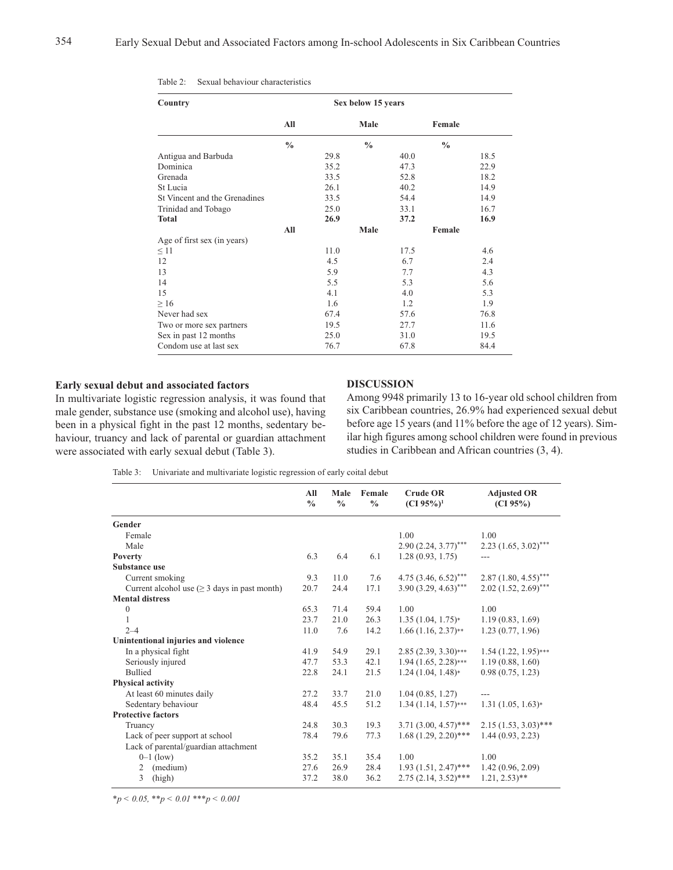| Country                       | Sex below 15 years |      |               |      |               |      |
|-------------------------------|--------------------|------|---------------|------|---------------|------|
|                               | All                |      | Male          |      | Female        |      |
|                               | $\frac{0}{0}$      |      | $\frac{0}{0}$ |      | $\frac{0}{0}$ |      |
| Antigua and Barbuda           |                    | 29.8 |               | 40.0 |               | 18.5 |
| Dominica                      |                    | 35.2 |               | 47.3 |               | 22.9 |
| Grenada                       |                    | 33.5 |               | 52.8 |               | 18.2 |
| St Lucia                      |                    | 26.1 |               | 40.2 |               | 14.9 |
| St Vincent and the Grenadines |                    | 33.5 |               | 54.4 |               | 14.9 |
| Trinidad and Tobago           |                    | 25.0 |               | 33.1 |               | 16.7 |
| <b>Total</b>                  |                    | 26.9 |               | 37.2 |               | 16.9 |
|                               | All                |      | Male          |      | Female        |      |
| Age of first sex (in years)   |                    |      |               |      |               |      |
| $\leq$ 11                     |                    | 11.0 |               | 17.5 |               | 4.6  |
| 12                            |                    | 4.5  |               | 6.7  |               | 2.4  |
| 13                            |                    | 5.9  |               | 7.7  |               | 4.3  |
| 14                            |                    | 5.5  |               | 5.3  |               | 5.6  |
| 15                            |                    | 4.1  |               | 4.0  |               | 5.3  |
| $\geq 16$                     |                    | 1.6  |               | 1.2  |               | 1.9  |
| Never had sex                 |                    | 67.4 |               | 57.6 |               | 76.8 |
| Two or more sex partners      |                    | 19.5 |               | 27.7 |               | 11.6 |
| Sex in past 12 months         |                    | 25.0 |               | 31.0 |               | 19.5 |
| Condom use at last sex        |                    | 76.7 |               | 67.8 |               | 84.4 |

### **Early sexual debut and associated factors**

In multivariate logistic regression analysis, it was found that male gender, substance use (smoking and alcohol use), having been in a physical fight in the past 12 months, sedentary behaviour, truancy and lack of parental or guardian attachment were associated with early sexual debut (Table 3).

### **DISCUSSION**

Among 9948 primarily 13 to 16-year old school children from six Caribbean countries, 26.9% had experienced sexual debut before age 15 years (and 11% before the age of 12 years). Similar high figures among school children were found in previous studies in Caribbean and African countries (3, 4).

Table 3: Univariate and multivariate logistic regression of early coital debut

|                                                   | All           | Male          | Female        | <b>Crude OR</b>        | <b>Adjusted OR</b>         |
|---------------------------------------------------|---------------|---------------|---------------|------------------------|----------------------------|
|                                                   | $\frac{0}{0}$ | $\frac{0}{0}$ | $\frac{0}{0}$ | (CI 95%) <sup>1</sup>  | (CI 95%)                   |
| Gender                                            |               |               |               |                        |                            |
| Female                                            |               |               |               | 1.00                   | 1.00                       |
| Male                                              |               |               |               | $2.90(2.24, 3.77)$ *** | $2.23$ $(1.65, 3.02)$ ***  |
| Poverty                                           | 6.3           | 6.4           | 6.1           | 1.28(0.93, 1.75)       |                            |
| Substance use                                     |               |               |               |                        |                            |
| Current smoking                                   | 9.3           | 11.0          | 7.6           | $4.75(3.46, 6.52)$ *** | $2.87(1.80, 4.55)$ ***     |
| Current alcohol use $(\geq 3$ days in past month) | 20.7          | 24.4          | 17.1          | $3.90(3.29, 4.63)$ *** | $2.02$ $(1.52, 2.69)$ ***  |
| <b>Mental distress</b>                            |               |               |               |                        |                            |
| $\boldsymbol{0}$                                  | 65.3          | 71.4          | 59.4          | 1.00                   | 1.00                       |
| 1                                                 | 23.7          | 21.0          | 26.3          | $1.35(1.04, 1.75)*$    | 1.19(0.83, 1.69)           |
| $2 - 4$                                           | 11.0          | 7.6           | 14.2          | $1.66(1.16, 2.37)$ **  | 1.23(0.77, 1.96)           |
| Unintentional injuries and violence               |               |               |               |                        |                            |
| In a physical fight                               | 41.9          | 54.9          | 29.1          | $2.85(2.39, 3.30)$ *** | $1.54(1.22, 1.95)$ ***     |
| Seriously injured                                 | 47.7          | 53.3          | 42.1          | $1.94(1.65, 2.28***$   | 1.19(0.88, 1.60)           |
| <b>Bullied</b>                                    | 22.8          | 24.1          | 21.5          | $1.24(1.04, 1.48)*$    | 0.98(0.75, 1.23)           |
| Physical activity                                 |               |               |               |                        |                            |
| At least 60 minutes daily                         | 27.2          | 33.7          | 21.0          | 1.04(0.85, 1.27)       |                            |
| Sedentary behaviour                               | 48.4          | 45.5          | 51.2          | $1.34(1.14, 1.57***$   | $1.31(1.05, 1.63)*$        |
| <b>Protective factors</b>                         |               |               |               |                        |                            |
| Truancy                                           | 24.8          | 30.3          | 19.3          | $3.71(3.00, 4.57)$ *** | $2.15(1.53, 3.03)$ ***     |
| Lack of peer support at school                    | 78.4          | 79.6          | 77.3          | $1.68(1.29, 2.20)$ *** | 1.44(0.93, 2.23)           |
| Lack of parental/guardian attachment              |               |               |               |                        |                            |
| $0-1$ (low)                                       | 35.2          | 35.1          | 35.4          | 1.00                   | 1.00                       |
| (medium)<br>2                                     | 27.6          | 26.9          | 28.4          | $1.93(1.51, 2.47)$ *** | 1.42(0.96, 2.09)           |
| 3<br>(high)                                       | 37.2          | 38.0          | 36.2          | $2.75(2.14, 3.52)$ *** | $1.21, 2.53$ <sup>**</sup> |

*\*p < 0.05, \*\*p < 0.01 \*\*\*p < 0.001*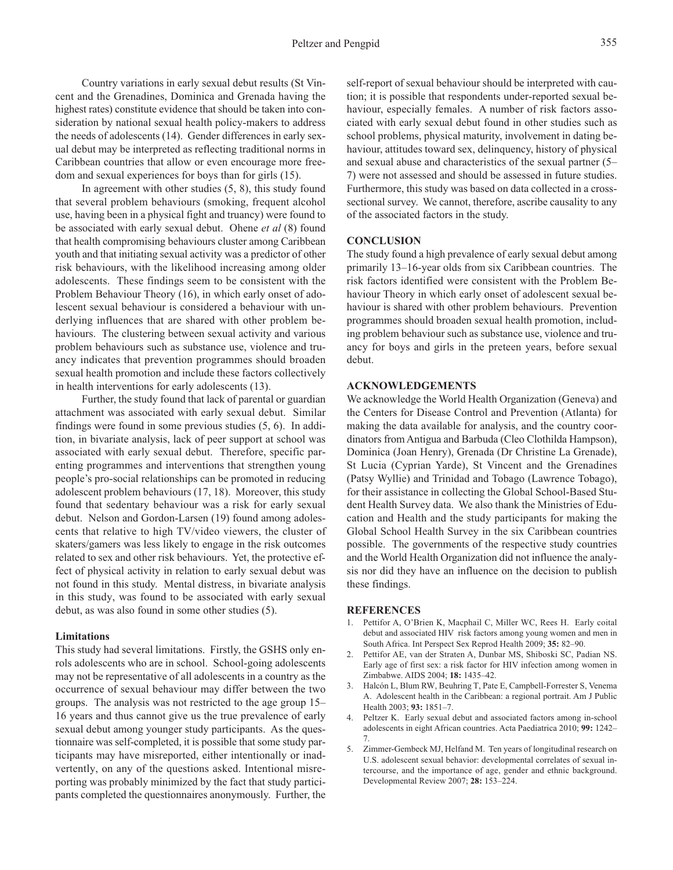Country variations in early sexual debut results (St Vincent and the Grenadines, Dominica and Grenada having the highest rates) constitute evidence that should be taken into consideration by national sexual health policy-makers to address the needs of adolescents (14). Gender differences in early sexual debut may be interpreted as reflecting traditional norms in Caribbean countries that allow or even encourage more freedom and sexual experiences for boys than for girls (15).

In agreement with other studies (5, 8), this study found that several problem behaviours (smoking, frequent alcohol use, having been in a physical fight and truancy) were found to be associated with early sexual debut. Ohene *et al* (8) found that health compromising behaviours cluster among Caribbean youth and that initiating sexual activity was a predictor of other risk behaviours, with the likelihood increasing among older adolescents. These findings seem to be consistent with the Problem Behaviour Theory (16), in which early onset of adolescent sexual behaviour is considered a behaviour with underlying influences that are shared with other problem behaviours. The clustering between sexual activity and various problem behaviours such as substance use, violence and truancy indicates that prevention programmes should broaden sexual health promotion and include these factors collectively in health interventions for early adolescents (13).

Further, the study found that lack of parental or guardian attachment was associated with early sexual debut. Similar findings were found in some previous studies (5, 6). In addition, in bivariate analysis, lack of peer support at school was associated with early sexual debut. Therefore, specific parenting programmes and interventions that strengthen young people's pro-social relationships can be promoted in reducing adolescent problem behaviours (17, 18). Moreover, this study found that sedentary behaviour was a risk for early sexual debut. Nelson and Gordon-Larsen (19) found among adolescents that relative to high TV/video viewers, the cluster of skaters/gamers was less likely to engage in the risk outcomes related to sex and other risk behaviours. Yet, the protective effect of physical activity in relation to early sexual debut was not found in this study. Mental distress, in bivariate analysis in this study, was found to be associated with early sexual debut, as was also found in some other studies (5).

#### **Limitations**

This study had several limitations. Firstly, the GSHS only enrols adolescents who are in school. School-going adolescents may not be representative of all adolescents in a country as the occurrence of sexual behaviour may differ between the two groups. The analysis was not restricted to the age group 15– 16 years and thus cannot give us the true prevalence of early sexual debut among younger study participants. As the questionnaire was self-completed, it is possible that some study participants may have misreported, either intentionally or inadvertently, on any of the questions asked. Intentional misreporting was probably minimized by the fact that study participants completed the questionnaires anonymously. Further, the

self-report of sexual behaviour should be interpreted with caution; it is possible that respondents under-reported sexual behaviour, especially females. A number of risk factors associated with early sexual debut found in other studies such as school problems, physical maturity, involvement in dating behaviour, attitudes toward sex, delinquency, history of physical and sexual abuse and characteristics of the sexual partner (5– 7) were not assessed and should be assessed in future studies. Furthermore, this study was based on data collected in a crosssectional survey. We cannot, therefore, ascribe causality to any of the associated factors in the study.

## **CONCLUSION**

The study found a high prevalence of early sexual debut among primarily 13–16-year olds from six Caribbean countries. The risk factors identified were consistent with the Problem Behaviour Theory in which early onset of adolescent sexual behaviour is shared with other problem behaviours. Prevention programmes should broaden sexual health promotion, including problem behaviour such as substance use, violence and truancy for boys and girls in the preteen years, before sexual debut.

## **ACKNOWLEDGEMENTS**

We acknowledge the World Health Organization (Geneva) and the Centers for Disease Control and Prevention (Atlanta) for making the data available for analysis, and the country coordinators fromAntigua and Barbuda (Cleo Clothilda Hampson), Dominica (Joan Henry), Grenada (Dr Christine La Grenade), St Lucia (Cyprian Yarde), St Vincent and the Grenadines (Patsy Wyllie) and Trinidad and Tobago (Lawrence Tobago), for their assistance in collecting the Global School-Based Student Health Survey data. We also thank the Ministries of Education and Health and the study participants for making the Global School Health Survey in the six Caribbean countries possible. The governments of the respective study countries and the World Health Organization did not influence the analysis nor did they have an influence on the decision to publish these findings.

#### **REFERENCES**

- 1. Pettifor A, O'Brien K, Macphail C, Miller WC, Rees H. Early coital debut and associated HIV risk factors among young women and men in South Africa. Int Perspect Sex Reprod Health 2009; **35:** 82–90.
- 2. Pettifor AE, van der Straten A, Dunbar MS, Shiboski SC, Padian NS. Early age of first sex: a risk factor for HIV infection among women in Zimbabwe. AIDS 2004; **18:** 1435–42.
- 3. Halcón L, Blum RW, Beuhring T, Pate E, Campbell-Forrester S, Venema A. Adolescent health in the Caribbean: a regional portrait. Am J Public Health 2003; **93:** 1851–7.
- 4. Peltzer K. Early sexual debut and associated factors among in-school adolescents in eight African countries. Acta Paediatrica 2010; **99:** 1242– 7.
- 5. Zimmer-Gembeck MJ, Helfand M. Ten years of longitudinal research on U.S. adolescent sexual behavior: developmental correlates of sexual intercourse, and the importance of age, gender and ethnic background. Developmental Review 2007; **28:** 153–224.